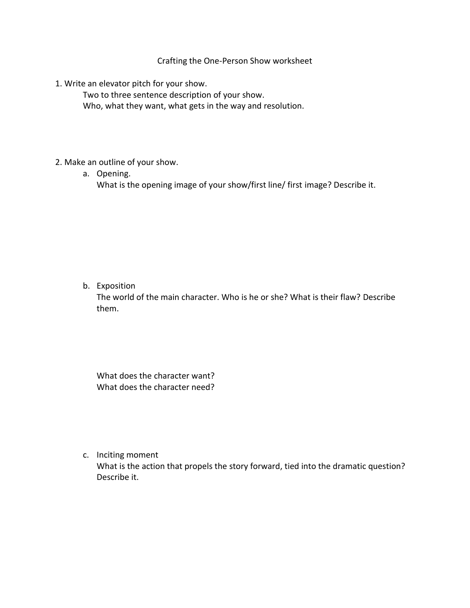Crafting the One-Person Show worksheet

1. Write an elevator pitch for your show.

Two to three sentence description of your show. Who, what they want, what gets in the way and resolution.

- 2. Make an outline of your show.
	- a. Opening. What is the opening image of your show/first line/ first image? Describe it.

b. Exposition

The world of the main character. Who is he or she? What is their flaw? Describe them.

What does the character want? What does the character need?

c. Inciting moment

What is the action that propels the story forward, tied into the dramatic question? Describe it.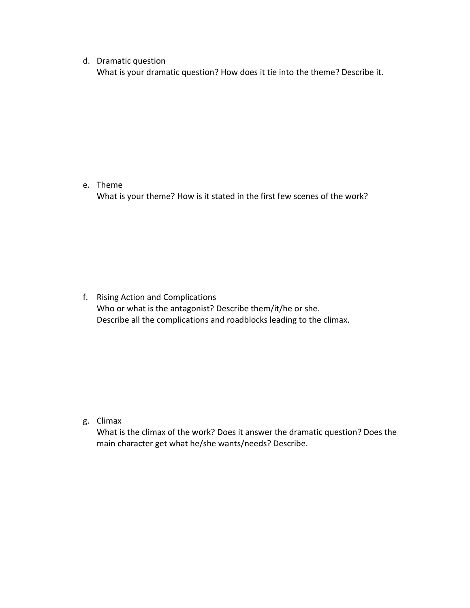## d. Dramatic question

What is your dramatic question? How does it tie into the theme? Describe it.

## e. Theme

What is your theme? How is it stated in the first few scenes of the work?

f. Rising Action and Complications Who or what is the antagonist? Describe them/it/he or she. Describe all the complications and roadblocks leading to the climax.

## g. Climax

What is the climax of the work? Does it answer the dramatic question? Does the main character get what he/she wants/needs? Describe.